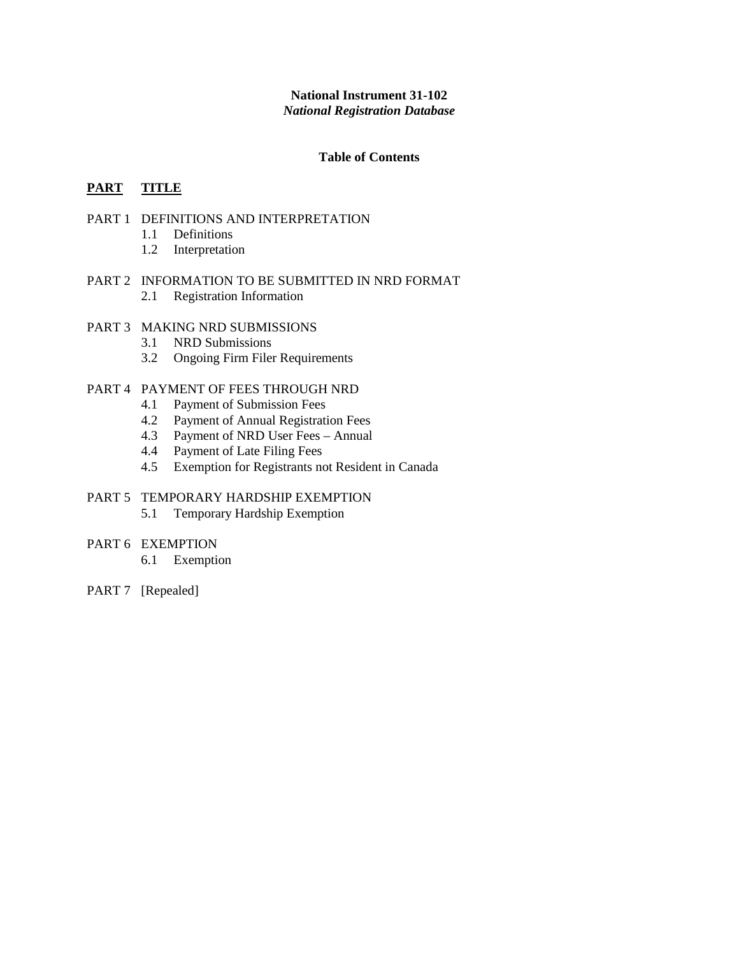# **National Instrument 31-102** *National Registration Database*

## **Table of Contents**

# **PART TITLE**

### PART 1 DEFINITIONS AND INTERPRETATION

- 1.1 Definitions
- 1.2 Interpretation
- PART 2 INFORMATION TO BE SUBMITTED IN NRD FORMAT 2.1 Registration Information

# PART 3 MAKING NRD SUBMISSIONS

- 3.1 NRD Submissions
- 3.2 Ongoing Firm Filer Requirements

#### PART 4 PAYMENT OF FEES THROUGH NRD

- 4.1 Payment of Submission Fees
- 4.2 Payment of Annual Registration Fees
- 4.3 Payment of NRD User Fees Annual
- 4.4 Payment of Late Filing Fees
- 4.5 Exemption for Registrants not Resident in Canada

# PART 5 TEMPORARY HARDSHIP EXEMPTION

5.1 Temporary Hardship Exemption

# PART 6 EXEMPTION

- 6.1 Exemption
- PART 7 [Repealed]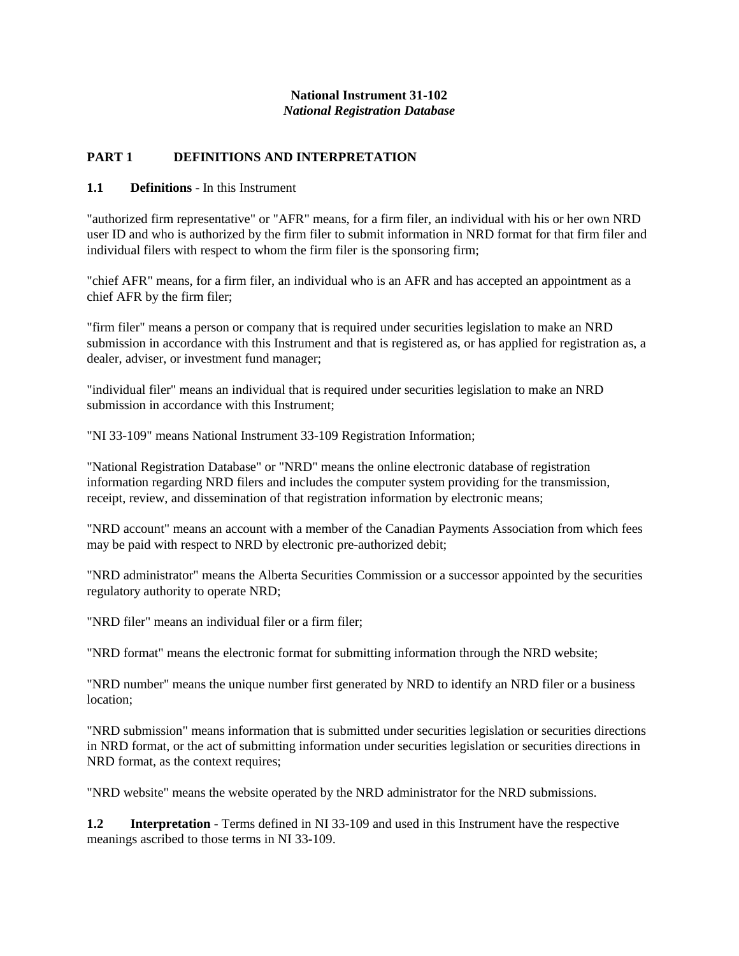# **National Instrument 31-102** *National Registration Database*

# **PART 1 DEFINITIONS AND INTERPRETATION**

# **1.1 Definitions** - In this Instrument

"authorized firm representative" or "AFR" means, for a firm filer, an individual with his or her own NRD user ID and who is authorized by the firm filer to submit information in NRD format for that firm filer and individual filers with respect to whom the firm filer is the sponsoring firm;

"chief AFR" means, for a firm filer, an individual who is an AFR and has accepted an appointment as a chief AFR by the firm filer;

"firm filer" means a person or company that is required under securities legislation to make an NRD submission in accordance with this Instrument and that is registered as, or has applied for registration as, a dealer, adviser, or investment fund manager;

"individual filer" means an individual that is required under securities legislation to make an NRD submission in accordance with this Instrument;

"NI 33-109" means National Instrument 33-109 Registration Information;

"National Registration Database" or "NRD" means the online electronic database of registration information regarding NRD filers and includes the computer system providing for the transmission, receipt, review, and dissemination of that registration information by electronic means;

"NRD account" means an account with a member of the Canadian Payments Association from which fees may be paid with respect to NRD by electronic pre-authorized debit;

"NRD administrator" means the Alberta Securities Commission or a successor appointed by the securities regulatory authority to operate NRD;

"NRD filer" means an individual filer or a firm filer;

"NRD format" means the electronic format for submitting information through the NRD website;

"NRD number" means the unique number first generated by NRD to identify an NRD filer or a business location;

"NRD submission" means information that is submitted under securities legislation or securities directions in NRD format, or the act of submitting information under securities legislation or securities directions in NRD format, as the context requires;

"NRD website" means the website operated by the NRD administrator for the NRD submissions.

**1.2** Interpretation - Terms defined in NI 33-109 and used in this Instrument have the respective meanings ascribed to those terms in NI 33-109.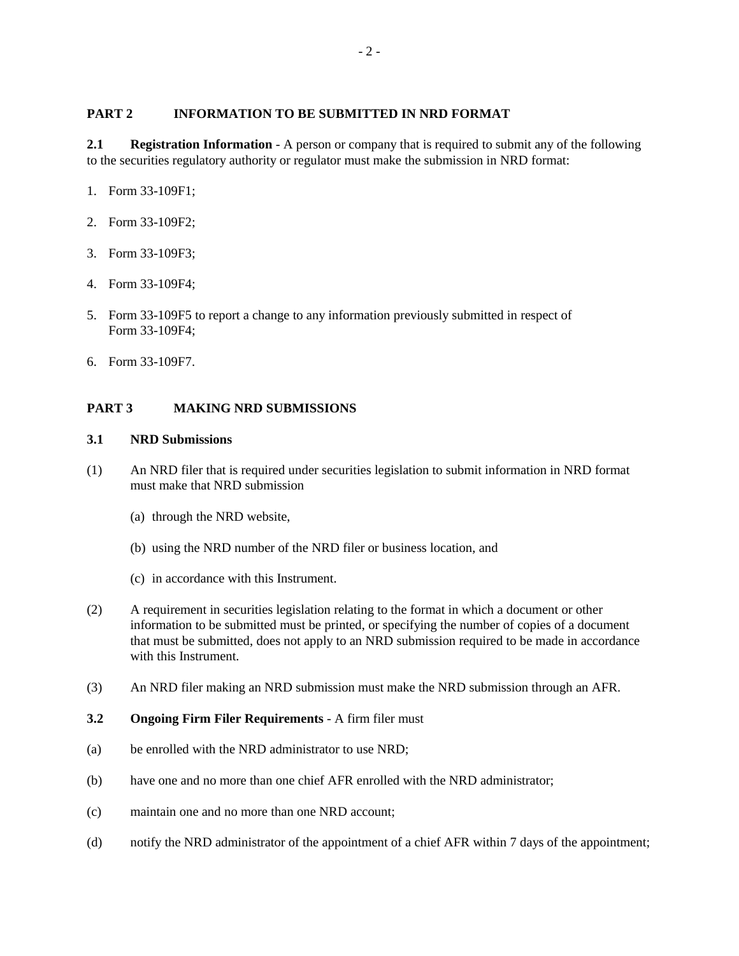# **PART 2 INFORMATION TO BE SUBMITTED IN NRD FORMAT**

**2.1 Registration Information** - A person or company that is required to submit any of the following to the securities regulatory authority or regulator must make the submission in NRD format:

- 1. Form 33-109F1;
- 2. Form 33-109F2;
- 3. Form 33-109F3;
- 4. Form 33-109F4;
- 5. Form 33-109F5 to report a change to any information previously submitted in respect of Form 33-109F4;
- 6. Form 33-109F7.

# **PART 3 MAKING NRD SUBMISSIONS**

### **3.1 NRD Submissions**

- (1) An NRD filer that is required under securities legislation to submit information in NRD format must make that NRD submission
	- (a) through the NRD website,
	- (b) using the NRD number of the NRD filer or business location, and
	- (c) in accordance with this Instrument.
- (2) A requirement in securities legislation relating to the format in which a document or other information to be submitted must be printed, or specifying the number of copies of a document that must be submitted, does not apply to an NRD submission required to be made in accordance with this Instrument.
- (3) An NRD filer making an NRD submission must make the NRD submission through an AFR.
- **3.2 Ongoing Firm Filer Requirements** A firm filer must
- (a) be enrolled with the NRD administrator to use NRD;
- (b) have one and no more than one chief AFR enrolled with the NRD administrator;
- (c) maintain one and no more than one NRD account;
- (d) notify the NRD administrator of the appointment of a chief AFR within 7 days of the appointment;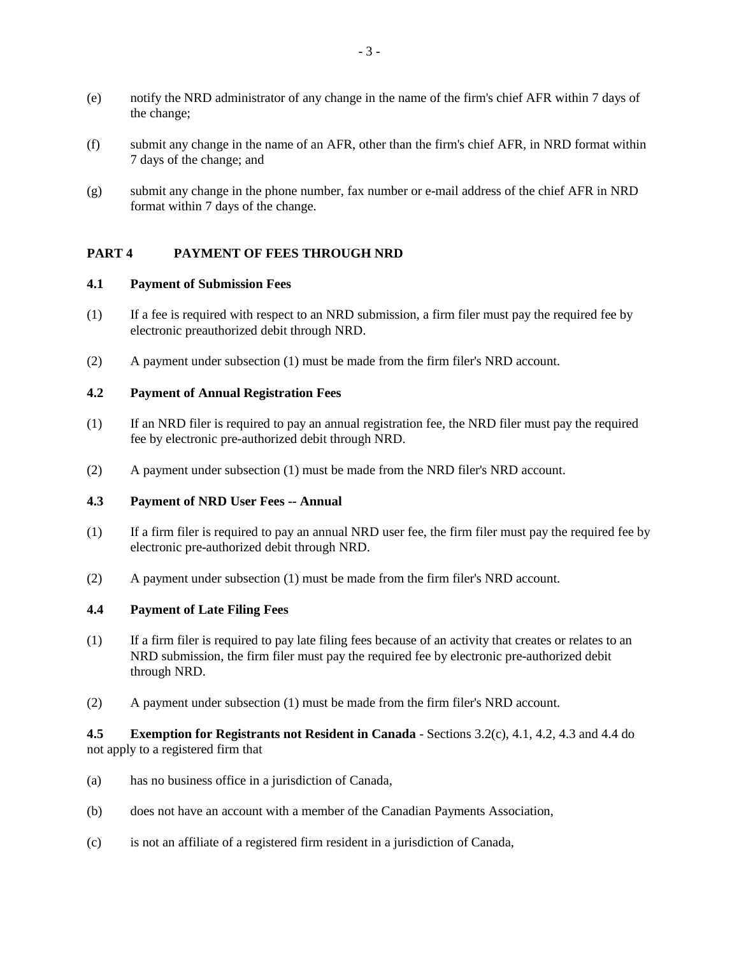- (e) notify the NRD administrator of any change in the name of the firm's chief AFR within 7 days of the change;
- (f) submit any change in the name of an AFR, other than the firm's chief AFR, in NRD format within 7 days of the change; and
- (g) submit any change in the phone number, fax number or e-mail address of the chief AFR in NRD format within 7 days of the change.

# **PART 4 PAYMENT OF FEES THROUGH NRD**

#### **4.1 Payment of Submission Fees**

- (1) If a fee is required with respect to an NRD submission, a firm filer must pay the required fee by electronic preauthorized debit through NRD.
- (2) A payment under subsection (1) must be made from the firm filer's NRD account.

## **4.2 Payment of Annual Registration Fees**

- (1) If an NRD filer is required to pay an annual registration fee, the NRD filer must pay the required fee by electronic pre-authorized debit through NRD.
- (2) A payment under subsection (1) must be made from the NRD filer's NRD account.

#### **4.3 Payment of NRD User Fees -- Annual**

- (1) If a firm filer is required to pay an annual NRD user fee, the firm filer must pay the required fee by electronic pre-authorized debit through NRD.
- (2) A payment under subsection (1) must be made from the firm filer's NRD account.

#### **4.4 Payment of Late Filing Fees**

- (1) If a firm filer is required to pay late filing fees because of an activity that creates or relates to an NRD submission, the firm filer must pay the required fee by electronic pre-authorized debit through NRD.
- (2) A payment under subsection (1) must be made from the firm filer's NRD account.

### **4.5 Exemption for Registrants not Resident in Canada** - Sections 3.2(c), 4.1, 4.2, 4.3 and 4.4 do not apply to a registered firm that

- (a) has no business office in a jurisdiction of Canada,
- (b) does not have an account with a member of the Canadian Payments Association,
- (c) is not an affiliate of a registered firm resident in a jurisdiction of Canada,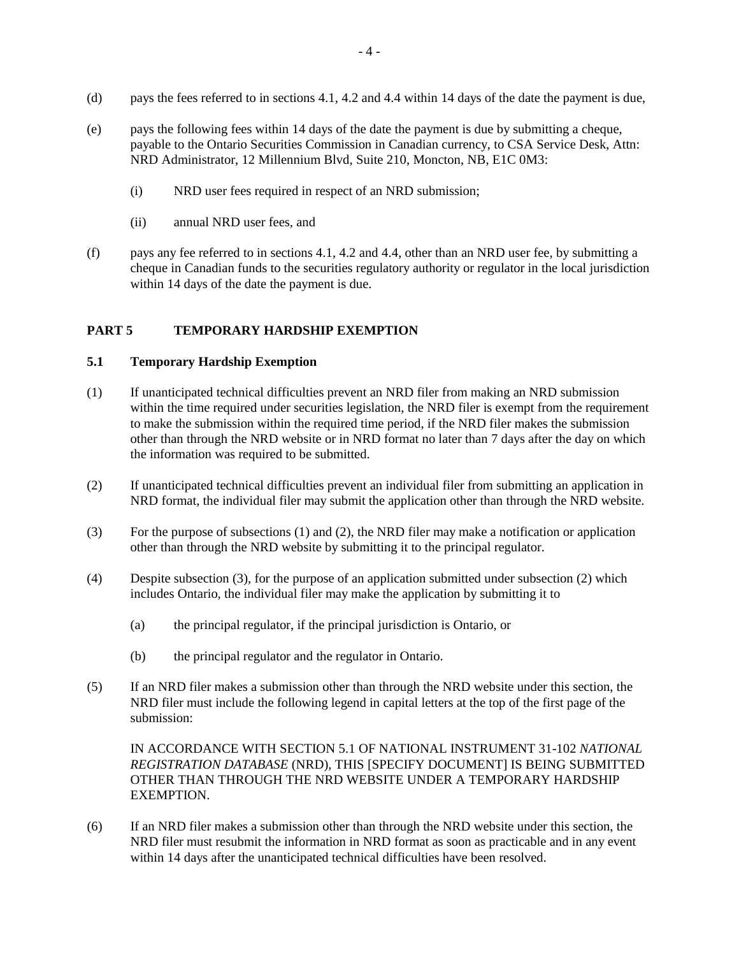- (d) pays the fees referred to in sections 4.1, 4.2 and 4.4 within 14 days of the date the payment is due,
- (e) pays the following fees within 14 days of the date the payment is due by submitting a cheque, payable to the Ontario Securities Commission in Canadian currency, to CSA Service Desk, Attn: NRD Administrator, 12 Millennium Blvd, Suite 210, Moncton, NB, E1C 0M3:
	- (i) NRD user fees required in respect of an NRD submission;
	- (ii) annual NRD user fees, and
- (f) pays any fee referred to in sections 4.1, 4.2 and 4.4, other than an NRD user fee, by submitting a cheque in Canadian funds to the securities regulatory authority or regulator in the local jurisdiction within 14 days of the date the payment is due.

### **PART 5 TEMPORARY HARDSHIP EXEMPTION**

## **5.1 Temporary Hardship Exemption**

- (1) If unanticipated technical difficulties prevent an NRD filer from making an NRD submission within the time required under securities legislation, the NRD filer is exempt from the requirement to make the submission within the required time period, if the NRD filer makes the submission other than through the NRD website or in NRD format no later than 7 days after the day on which the information was required to be submitted.
- (2) If unanticipated technical difficulties prevent an individual filer from submitting an application in NRD format, the individual filer may submit the application other than through the NRD website.
- (3) For the purpose of subsections (1) and (2), the NRD filer may make a notification or application other than through the NRD website by submitting it to the principal regulator.
- (4) Despite subsection (3), for the purpose of an application submitted under subsection (2) which includes Ontario, the individual filer may make the application by submitting it to
	- (a) the principal regulator, if the principal jurisdiction is Ontario, or
	- (b) the principal regulator and the regulator in Ontario.
- (5) If an NRD filer makes a submission other than through the NRD website under this section, the NRD filer must include the following legend in capital letters at the top of the first page of the submission:

IN ACCORDANCE WITH SECTION 5.1 OF NATIONAL INSTRUMENT 31-102 *NATIONAL REGISTRATION DATABASE* (NRD), THIS [SPECIFY DOCUMENT] IS BEING SUBMITTED OTHER THAN THROUGH THE NRD WEBSITE UNDER A TEMPORARY HARDSHIP EXEMPTION.

(6) If an NRD filer makes a submission other than through the NRD website under this section, the NRD filer must resubmit the information in NRD format as soon as practicable and in any event within 14 days after the unanticipated technical difficulties have been resolved.